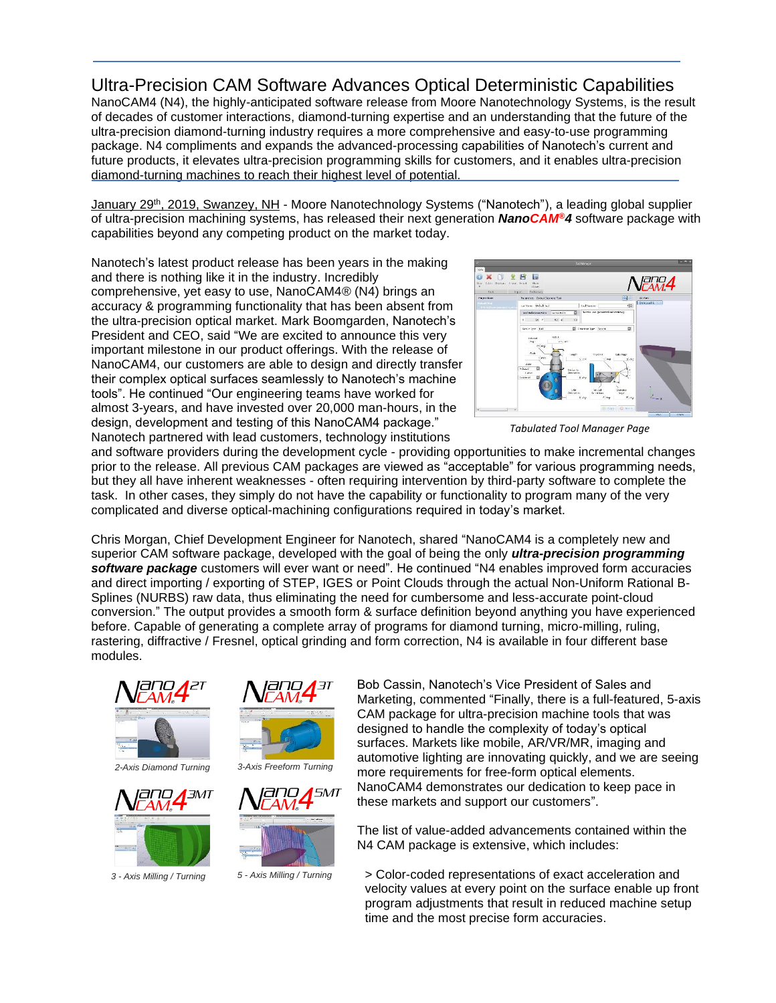## Ultra-Precision CAM Software Advances Optical Deterministic Capabilities

NanoCAM4 (N4), the highly-anticipated software release from Moore Nanotechnology Systems, is the result of decades of customer interactions, diamond-turning expertise and an understanding that the future of the ultra-precision diamond-turning industry requires a more comprehensive and easy-to-use programming package. N4 compliments and expands the advanced-processing capabilities of Nanotech's current and future products, it elevates ultra-precision programming skills for customers, and it enables ultra-precision diamond-turning machines to reach their highest level of potential.

<u>January 29<sup>th</sup>, 2019, Swanzey, NH</u> - Moore Nanotechnology Systems ("Nanotech"), a leading global supplier of ultra-precision machining systems, has released their next generation *NanoCAM®4* software package with capabilities beyond any competing product on the market today.

Nanotech's latest product release has been years in the making and there is nothing like it in the industry. Incredibly comprehensive, yet easy to use, NanoCAM4® (N4) brings an accuracy & programming functionality that has been absent from the ultra-precision optical market. Mark Boomgarden, Nanotech's President and CEO, said "We are excited to announce this very important milestone in our product offerings. With the release of NanoCAM4, our customers are able to design and directly transfer their complex optical surfaces seamlessly to Nanotech's machine tools". He continued "Our engineering teams have worked for almost 3-years, and have invested over 20,000 man-hours, in the design, development and testing of this NanoCAM4 package." Nanotech partnered with lead customers, technology institutions



 *Tabulated Tool Manager Page*

and software providers during the development cycle - providing opportunities to make incremental changes prior to the release. All previous CAM packages are viewed as "acceptable" for various programming needs, but they all have inherent weaknesses - often requiring intervention by third-party software to complete the task. In other cases, they simply do not have the capability or functionality to program many of the very complicated and diverse optical-machining configurations required in today's market.

Chris Morgan, Chief Development Engineer for Nanotech, shared "NanoCAM4 is a completely new and superior CAM software package, developed with the goal of being the only *ultra-precision programming software package* customers will ever want or need". He continued "N4 enables improved form accuracies and direct importing / exporting of STEP, IGES or Point Clouds through the actual Non-Uniform Rational B-Splines (NURBS) raw data, thus eliminating the need for cumbersome and less-accurate point-cloud conversion." The output provides a smooth form & surface definition beyond anything you have experienced before. Capable of generating a complete array of programs for diamond turning, micro-milling, ruling, rastering, diffractive / Fresnel, optical grinding and form correction, N4 is available in four different base modules.



*2-Axis Diamond Turning 3-Axis Freeform Turning*



*3 - Axis Milling / Turning 5 - Axis Milling / Turning*







Bob Cassin, Nanotech's Vice President of Sales and Marketing, commented "Finally, there is a full-featured, 5-axis CAM package for ultra-precision machine tools that was designed to handle the complexity of today's optical surfaces. Markets like mobile, AR/VR/MR, imaging and automotive lighting are innovating quickly, and we are seeing more requirements for free-form optical elements. NanoCAM4 demonstrates our dedication to keep pace in these markets and support our customers".

The list of value-added advancements contained within the N4 CAM package is extensive, which includes:

> Color-coded representations of exact acceleration and velocity values at every point on the surface enable up front program adjustments that result in reduced machine setup time and the most precise form accuracies.